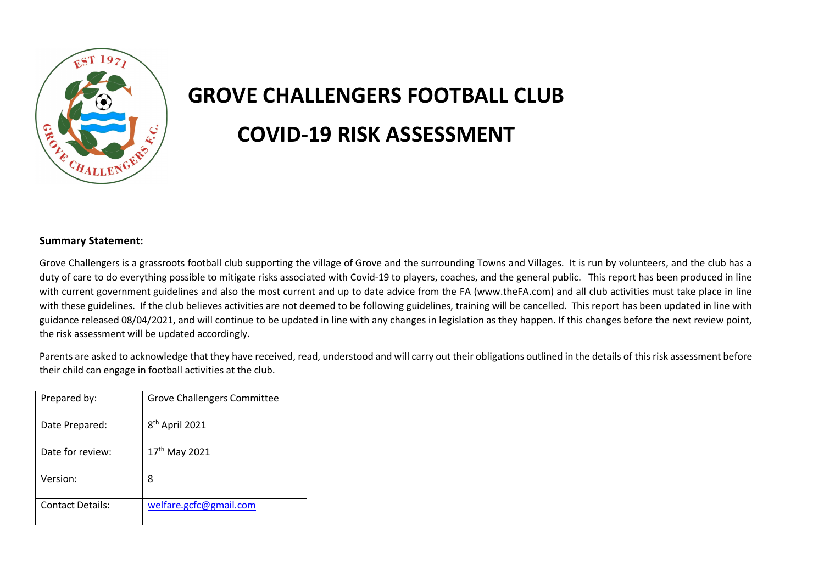

## **GROVE CHALLENGERS FOOTBALL CLUB COVID-19 RISK ASSESSMENT**

## **Summary Statement:**

Grove Challengers is a grassroots football club supporting the village of Grove and the surrounding Towns and Villages. It is run by volunteers, and the club has a duty of care to do everything possible to mitigate risks associated with Covid-19 to players, coaches, and the general public. This report has been produced in line with current government guidelines and also the most current and up to date advice from the FA (www.theFA.com) and all club activities must take place in line with these guidelines. If the club believes activities are not deemed to be following guidelines, training will be cancelled. This report has been updated in line with guidance released 08/04/2021, and will continue to be updated in line with any changes in legislation as they happen. If this changes before the next review point, the risk assessment will be updated accordingly.

Parents are asked to acknowledge that they have received, read, understood and will carry out their obligations outlined in the details of this risk assessment before their child can engage in football activities at the club.

| Prepared by:            | <b>Grove Challengers Committee</b> |
|-------------------------|------------------------------------|
| Date Prepared:          | 8 <sup>th</sup> April 2021         |
| Date for review:        | 17 <sup>th</sup> May 2021          |
| Version:                | 8                                  |
| <b>Contact Details:</b> | welfare.gcfc@gmail.com             |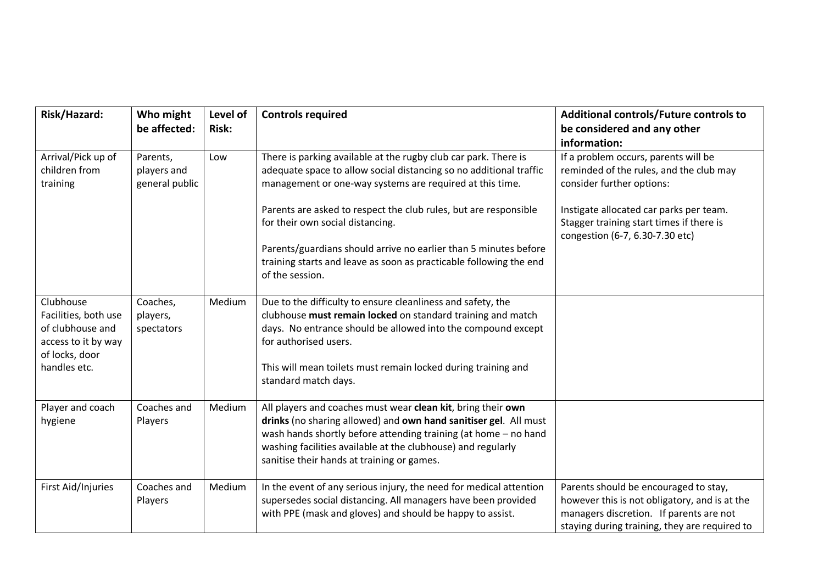| Risk/Hazard:                                                                                                   | Who might<br>be affected:                 | Level of<br><b>Risk:</b> | <b>Controls required</b>                                                                                                                                                                                                                                                                                          | Additional controls/Future controls to<br>be considered and any other<br>information:                                                                                              |
|----------------------------------------------------------------------------------------------------------------|-------------------------------------------|--------------------------|-------------------------------------------------------------------------------------------------------------------------------------------------------------------------------------------------------------------------------------------------------------------------------------------------------------------|------------------------------------------------------------------------------------------------------------------------------------------------------------------------------------|
| Arrival/Pick up of<br>children from<br>training                                                                | Parents,<br>players and<br>general public | Low                      | There is parking available at the rugby club car park. There is<br>adequate space to allow social distancing so no additional traffic<br>management or one-way systems are required at this time.                                                                                                                 | If a problem occurs, parents will be<br>reminded of the rules, and the club may<br>consider further options:                                                                       |
|                                                                                                                |                                           |                          | Parents are asked to respect the club rules, but are responsible<br>for their own social distancing.                                                                                                                                                                                                              | Instigate allocated car parks per team.<br>Stagger training start times if there is<br>congestion (6-7, 6.30-7.30 etc)                                                             |
|                                                                                                                |                                           |                          | Parents/guardians should arrive no earlier than 5 minutes before<br>training starts and leave as soon as practicable following the end<br>of the session.                                                                                                                                                         |                                                                                                                                                                                    |
| Clubhouse<br>Facilities, both use<br>of clubhouse and<br>access to it by way<br>of locks, door<br>handles etc. | Coaches,<br>players,<br>spectators        | Medium                   | Due to the difficulty to ensure cleanliness and safety, the<br>clubhouse must remain locked on standard training and match<br>days. No entrance should be allowed into the compound except<br>for authorised users.                                                                                               |                                                                                                                                                                                    |
|                                                                                                                |                                           |                          | This will mean toilets must remain locked during training and<br>standard match days.                                                                                                                                                                                                                             |                                                                                                                                                                                    |
| Player and coach<br>hygiene                                                                                    | Coaches and<br>Players                    | Medium                   | All players and coaches must wear clean kit, bring their own<br>drinks (no sharing allowed) and own hand sanitiser gel. All must<br>wash hands shortly before attending training (at home - no hand<br>washing facilities available at the clubhouse) and regularly<br>sanitise their hands at training or games. |                                                                                                                                                                                    |
| First Aid/Injuries                                                                                             | Coaches and<br>Players                    | Medium                   | In the event of any serious injury, the need for medical attention<br>supersedes social distancing. All managers have been provided<br>with PPE (mask and gloves) and should be happy to assist.                                                                                                                  | Parents should be encouraged to stay,<br>however this is not obligatory, and is at the<br>managers discretion. If parents are not<br>staying during training, they are required to |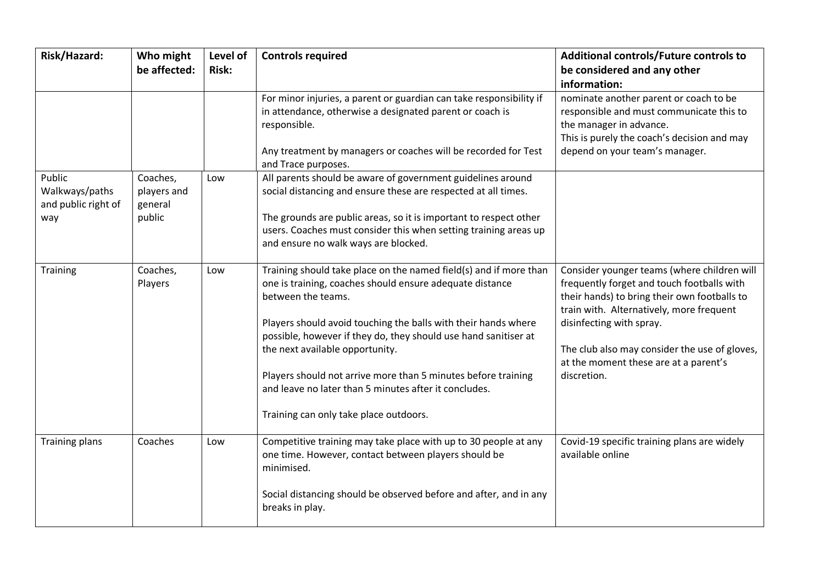| Risk/Hazard:                                           | Who might<br>be affected:                    | Level of<br><b>Risk:</b> | <b>Controls required</b>                                                                                                                                                                                                                                                                                                                                                                                                                                                                        | Additional controls/Future controls to<br>be considered and any other<br>information:                                                                                                                                                                                                                                      |
|--------------------------------------------------------|----------------------------------------------|--------------------------|-------------------------------------------------------------------------------------------------------------------------------------------------------------------------------------------------------------------------------------------------------------------------------------------------------------------------------------------------------------------------------------------------------------------------------------------------------------------------------------------------|----------------------------------------------------------------------------------------------------------------------------------------------------------------------------------------------------------------------------------------------------------------------------------------------------------------------------|
|                                                        |                                              |                          | For minor injuries, a parent or guardian can take responsibility if<br>in attendance, otherwise a designated parent or coach is<br>responsible.<br>Any treatment by managers or coaches will be recorded for Test<br>and Trace purposes.                                                                                                                                                                                                                                                        | nominate another parent or coach to be<br>responsible and must communicate this to<br>the manager in advance.<br>This is purely the coach's decision and may<br>depend on your team's manager.                                                                                                                             |
| Public<br>Walkways/paths<br>and public right of<br>way | Coaches,<br>players and<br>general<br>public | Low                      | All parents should be aware of government guidelines around<br>social distancing and ensure these are respected at all times.<br>The grounds are public areas, so it is important to respect other<br>users. Coaches must consider this when setting training areas up<br>and ensure no walk ways are blocked.                                                                                                                                                                                  |                                                                                                                                                                                                                                                                                                                            |
| Training                                               | Coaches,<br>Players                          | Low                      | Training should take place on the named field(s) and if more than<br>one is training, coaches should ensure adequate distance<br>between the teams.<br>Players should avoid touching the balls with their hands where<br>possible, however if they do, they should use hand sanitiser at<br>the next available opportunity.<br>Players should not arrive more than 5 minutes before training<br>and leave no later than 5 minutes after it concludes.<br>Training can only take place outdoors. | Consider younger teams (where children will<br>frequently forget and touch footballs with<br>their hands) to bring their own footballs to<br>train with. Alternatively, more frequent<br>disinfecting with spray.<br>The club also may consider the use of gloves,<br>at the moment these are at a parent's<br>discretion. |
| <b>Training plans</b>                                  | Coaches                                      | Low                      | Competitive training may take place with up to 30 people at any<br>one time. However, contact between players should be<br>minimised.<br>Social distancing should be observed before and after, and in any<br>breaks in play.                                                                                                                                                                                                                                                                   | Covid-19 specific training plans are widely<br>available online                                                                                                                                                                                                                                                            |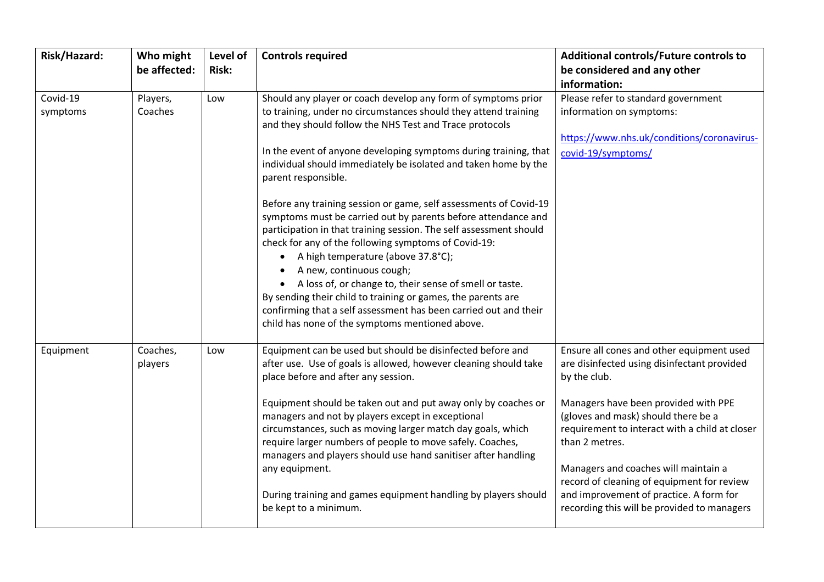| Risk/Hazard:         | Who might<br>be affected: | Level of<br><b>Risk:</b> | <b>Controls required</b>                                                                                                                                                                                                                                                                                                                                                                                                                                                                                                                                                                                                                                                                                                                                                                                                                                                                                                                                       | Additional controls/Future controls to<br>be considered and any other<br>information:                                                                                                                                                                                                                                                                                                                                                       |
|----------------------|---------------------------|--------------------------|----------------------------------------------------------------------------------------------------------------------------------------------------------------------------------------------------------------------------------------------------------------------------------------------------------------------------------------------------------------------------------------------------------------------------------------------------------------------------------------------------------------------------------------------------------------------------------------------------------------------------------------------------------------------------------------------------------------------------------------------------------------------------------------------------------------------------------------------------------------------------------------------------------------------------------------------------------------|---------------------------------------------------------------------------------------------------------------------------------------------------------------------------------------------------------------------------------------------------------------------------------------------------------------------------------------------------------------------------------------------------------------------------------------------|
| Covid-19<br>symptoms | Players,<br>Coaches       | Low                      | Should any player or coach develop any form of symptoms prior<br>to training, under no circumstances should they attend training<br>and they should follow the NHS Test and Trace protocols<br>In the event of anyone developing symptoms during training, that<br>individual should immediately be isolated and taken home by the<br>parent responsible.<br>Before any training session or game, self assessments of Covid-19<br>symptoms must be carried out by parents before attendance and<br>participation in that training session. The self assessment should<br>check for any of the following symptoms of Covid-19:<br>A high temperature (above 37.8°C);<br>A new, continuous cough;<br>A loss of, or change to, their sense of smell or taste.<br>$\bullet$<br>By sending their child to training or games, the parents are<br>confirming that a self assessment has been carried out and their<br>child has none of the symptoms mentioned above. | Please refer to standard government<br>information on symptoms:<br>https://www.nhs.uk/conditions/coronavirus-<br>covid-19/symptoms/                                                                                                                                                                                                                                                                                                         |
| Equipment            | Coaches,<br>players       | Low                      | Equipment can be used but should be disinfected before and<br>after use. Use of goals is allowed, however cleaning should take<br>place before and after any session.<br>Equipment should be taken out and put away only by coaches or<br>managers and not by players except in exceptional<br>circumstances, such as moving larger match day goals, which<br>require larger numbers of people to move safely. Coaches,<br>managers and players should use hand sanitiser after handling<br>any equipment.<br>During training and games equipment handling by players should<br>be kept to a minimum.                                                                                                                                                                                                                                                                                                                                                          | Ensure all cones and other equipment used<br>are disinfected using disinfectant provided<br>by the club.<br>Managers have been provided with PPE<br>(gloves and mask) should there be a<br>requirement to interact with a child at closer<br>than 2 metres.<br>Managers and coaches will maintain a<br>record of cleaning of equipment for review<br>and improvement of practice. A form for<br>recording this will be provided to managers |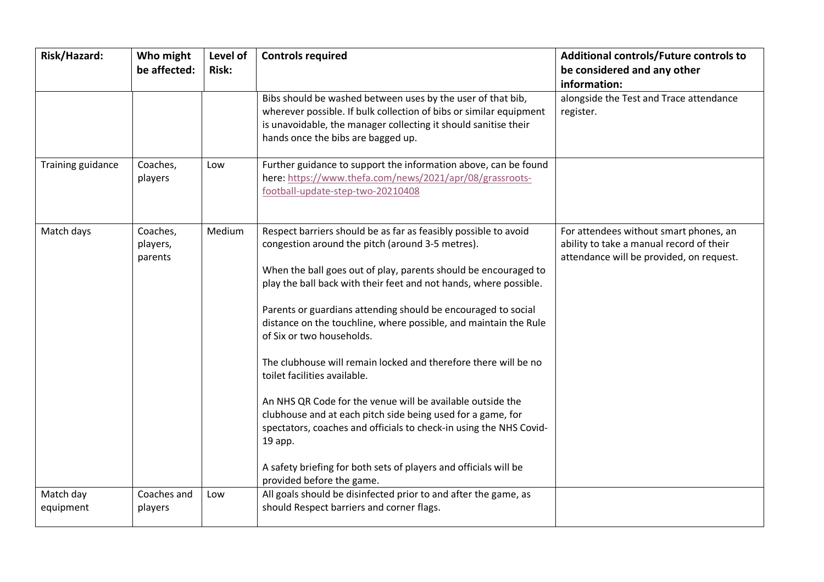| Risk/Hazard:           | Who might<br>be affected:       | Level of<br><b>Risk:</b> | <b>Controls required</b>                                                                                                                                                                                                                                                                                                                                                                                                                                                                                                                                                                                                                                                                                                                                                                                                                        | Additional controls/Future controls to<br>be considered and any other<br>information:                                          |
|------------------------|---------------------------------|--------------------------|-------------------------------------------------------------------------------------------------------------------------------------------------------------------------------------------------------------------------------------------------------------------------------------------------------------------------------------------------------------------------------------------------------------------------------------------------------------------------------------------------------------------------------------------------------------------------------------------------------------------------------------------------------------------------------------------------------------------------------------------------------------------------------------------------------------------------------------------------|--------------------------------------------------------------------------------------------------------------------------------|
|                        |                                 |                          | Bibs should be washed between uses by the user of that bib,<br>wherever possible. If bulk collection of bibs or similar equipment<br>is unavoidable, the manager collecting it should sanitise their<br>hands once the bibs are bagged up.                                                                                                                                                                                                                                                                                                                                                                                                                                                                                                                                                                                                      | alongside the Test and Trace attendance<br>register.                                                                           |
| Training guidance      | Coaches,<br>players             | Low                      | Further guidance to support the information above, can be found<br>here: https://www.thefa.com/news/2021/apr/08/grassroots-<br>football-update-step-two-20210408                                                                                                                                                                                                                                                                                                                                                                                                                                                                                                                                                                                                                                                                                |                                                                                                                                |
| Match days             | Coaches,<br>players,<br>parents | Medium                   | Respect barriers should be as far as feasibly possible to avoid<br>congestion around the pitch (around 3-5 metres).<br>When the ball goes out of play, parents should be encouraged to<br>play the ball back with their feet and not hands, where possible.<br>Parents or guardians attending should be encouraged to social<br>distance on the touchline, where possible, and maintain the Rule<br>of Six or two households.<br>The clubhouse will remain locked and therefore there will be no<br>toilet facilities available.<br>An NHS QR Code for the venue will be available outside the<br>clubhouse and at each pitch side being used for a game, for<br>spectators, coaches and officials to check-in using the NHS Covid-<br>19 app.<br>A safety briefing for both sets of players and officials will be<br>provided before the game. | For attendees without smart phones, an<br>ability to take a manual record of their<br>attendance will be provided, on request. |
| Match day<br>equipment | Coaches and<br>players          | Low                      | All goals should be disinfected prior to and after the game, as<br>should Respect barriers and corner flags.                                                                                                                                                                                                                                                                                                                                                                                                                                                                                                                                                                                                                                                                                                                                    |                                                                                                                                |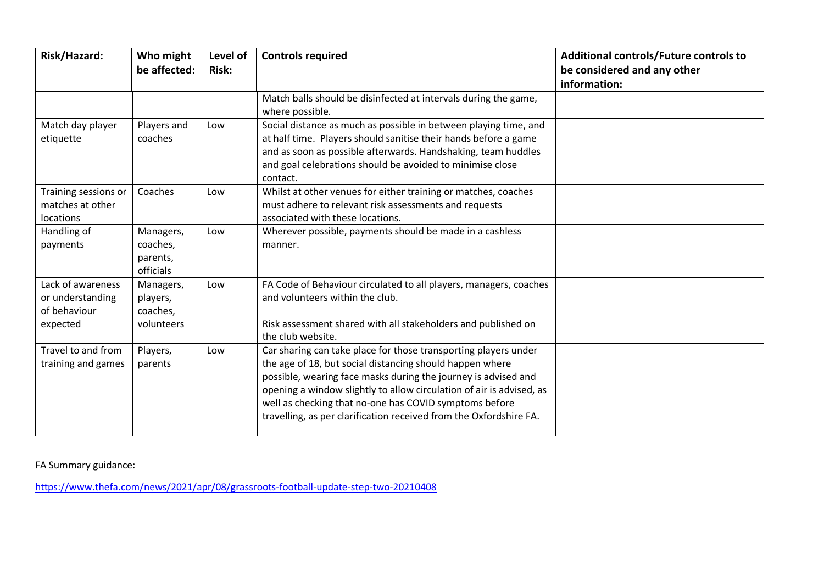| Risk/Hazard:                                                      | Who might<br>be affected:                       | Level of<br><b>Risk:</b> | <b>Controls required</b>                                                                                                                                                                                                                                                                                                                                                                              | Additional controls/Future controls to<br>be considered and any other<br>information: |
|-------------------------------------------------------------------|-------------------------------------------------|--------------------------|-------------------------------------------------------------------------------------------------------------------------------------------------------------------------------------------------------------------------------------------------------------------------------------------------------------------------------------------------------------------------------------------------------|---------------------------------------------------------------------------------------|
|                                                                   |                                                 |                          | Match balls should be disinfected at intervals during the game,<br>where possible.                                                                                                                                                                                                                                                                                                                    |                                                                                       |
| Match day player<br>etiquette                                     | Players and<br>coaches                          | Low                      | Social distance as much as possible in between playing time, and<br>at half time. Players should sanitise their hands before a game<br>and as soon as possible afterwards. Handshaking, team huddles<br>and goal celebrations should be avoided to minimise close<br>contact.                                                                                                                         |                                                                                       |
| Training sessions or<br>matches at other<br>locations             | Coaches                                         | Low                      | Whilst at other venues for either training or matches, coaches<br>must adhere to relevant risk assessments and requests<br>associated with these locations.                                                                                                                                                                                                                                           |                                                                                       |
| Handling of<br>payments                                           | Managers,<br>coaches,<br>parents,<br>officials  | Low                      | Wherever possible, payments should be made in a cashless<br>manner.                                                                                                                                                                                                                                                                                                                                   |                                                                                       |
| Lack of awareness<br>or understanding<br>of behaviour<br>expected | Managers,<br>players,<br>coaches,<br>volunteers | Low                      | FA Code of Behaviour circulated to all players, managers, coaches<br>and volunteers within the club.<br>Risk assessment shared with all stakeholders and published on<br>the club website.                                                                                                                                                                                                            |                                                                                       |
| Travel to and from<br>training and games                          | Players,<br>parents                             | Low                      | Car sharing can take place for those transporting players under<br>the age of 18, but social distancing should happen where<br>possible, wearing face masks during the journey is advised and<br>opening a window slightly to allow circulation of air is advised, as<br>well as checking that no-one has COVID symptoms before<br>travelling, as per clarification received from the Oxfordshire FA. |                                                                                       |

FA Summary guidance:

https://www.thefa.com/news/2021/apr/08/grassroots-football-update-step-two-20210408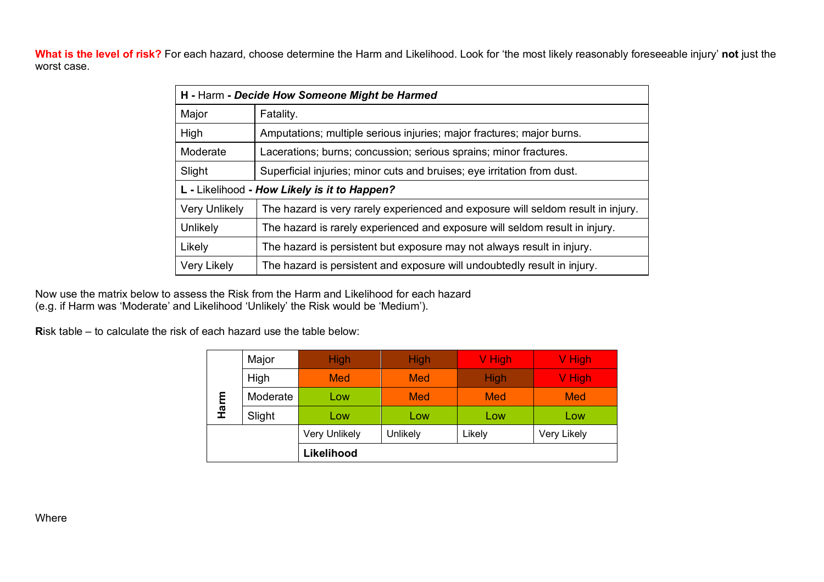**What is the level of risk?** For each hazard, choose determine the Harm and Likelihood. Look for 'the most likely reasonably foreseeable injury' **not** just the worst case.

| H - Harm - Decide How Someone Might be Harmed |                                                                                  |  |
|-----------------------------------------------|----------------------------------------------------------------------------------|--|
| Major                                         | Fatality.                                                                        |  |
| High                                          | Amputations; multiple serious injuries; major fractures; major burns.            |  |
| Moderate                                      | Lacerations; burns; concussion; serious sprains; minor fractures.                |  |
| Slight                                        | Superficial injuries; minor cuts and bruises; eye irritation from dust.          |  |
| L - Likelihood - How Likely is it to Happen?  |                                                                                  |  |
| <b>Very Unlikely</b>                          | The hazard is very rarely experienced and exposure will seldom result in injury. |  |
| Unlikely                                      | The hazard is rarely experienced and exposure will seldom result in injury.      |  |
| Likely                                        | The hazard is persistent but exposure may not always result in injury.           |  |
| Very Likely                                   | The hazard is persistent and exposure will undoubtedly result in injury.         |  |

Now use the matrix below to assess the Risk from the Harm and Likelihood for each hazard (e.g. if Harm was 'Moderate' and Likelihood 'Unlikely' the Risk would be 'Medium').

**R**isk table – to calculate the risk of each hazard use the table below:

| Harm | Major    | <b>High</b>          | <b>High</b> | V High      | V High      |
|------|----------|----------------------|-------------|-------------|-------------|
|      | High     | <b>Med</b>           | Med         | <b>High</b> | V High      |
|      | Moderate | Low                  | Med         | <b>Med</b>  | Med         |
|      | Slight   | Low                  | Low         | Low         | Low         |
|      |          | <b>Very Unlikely</b> | Unlikely    | Likely      | Very Likely |
|      |          | Likelihood           |             |             |             |